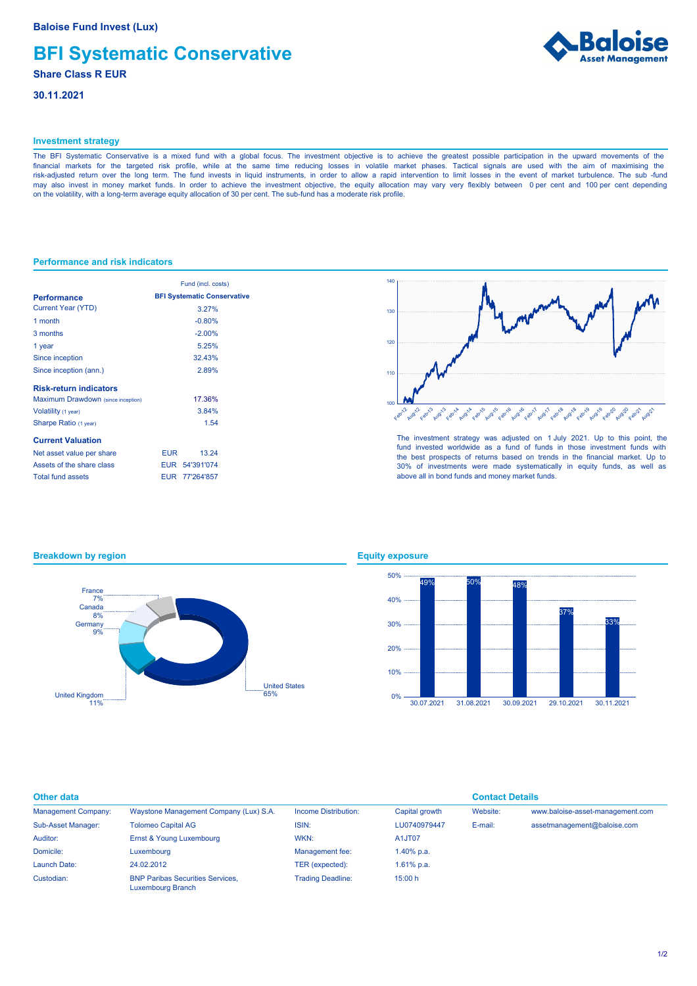# **BFI Systematic Conservative**

## **Share Class R EUR**

**30.11.2021**



### **Investment strategy**

The BFI Systematic Conservative is a mixed fund with a global focus. The investment objective is to achieve the greatest possible participation in the upward movements of the financial markets for the targeted risk profile, while at the same time reducing losses in volatile market phases. Tactical signals are used with the aim of maximising the risk-adjusted return over the long term. The fund invests in liquid instruments, in order to allow a rapid intervention to limit losses in the event of market turbulence. The sub -fund may also invest in money market funds. In order to achieve the investment objective, the equity allocation may vary very flexibly between 0 per cent and 100 per cent depending on the volatility, with a long-term average equity allocation of 30 per cent. The sub-fund has a moderate risk profile.

### **Performance and risk indicators**

|                                    | Fund (incl. costs)                 |  |  |  |
|------------------------------------|------------------------------------|--|--|--|
| <b>Performance</b>                 | <b>BFI Systematic Conservative</b> |  |  |  |
| <b>Current Year (YTD)</b>          | 3.27%                              |  |  |  |
| 1 month                            | $-0.80%$                           |  |  |  |
| 3 months                           | $-2.00%$                           |  |  |  |
| 1 year                             | 5.25%                              |  |  |  |
| Since inception                    | 32.43%                             |  |  |  |
| Since inception (ann.)             | 2.89%                              |  |  |  |
| <b>Risk-return indicators</b>      |                                    |  |  |  |
| Maximum Drawdown (since inception) | 17.36%                             |  |  |  |
| Volatility (1 year)                | 3.84%                              |  |  |  |
| Sharpe Ratio (1 year)              | 1.54                               |  |  |  |
| <b>Current Valuation</b>           |                                    |  |  |  |
| Net asset value per share          | <b>EUR</b><br>13 24                |  |  |  |
| Assets of the share class          | EUR 54'391'074                     |  |  |  |
| <b>Total fund assets</b>           | EUR 77'264'857                     |  |  |  |



The investment strategy was adjusted on 1 July 2021. Up to this point, the fund invested worldwide as a fund of funds in those investment funds with the best prospects of returns based on trends in the financial market. Up to 30% of investments were made systematically in equity funds, as well as above all in bond funds and money market funds.



### **Equity exposure**



**Breakdown by region**

| Other data                 |                                                                     |                          | <b>Contact Details</b> |          |                                  |
|----------------------------|---------------------------------------------------------------------|--------------------------|------------------------|----------|----------------------------------|
| <b>Management Company:</b> | Waystone Management Company (Lux) S.A.                              | Income Distribution:     | Capital growth         | Website: | www.baloise-asset-management.com |
| Sub-Asset Manager:         | <b>Tolomeo Capital AG</b>                                           | ISIN:                    | LU0740979447           | E-mail:  | assetmanagement@baloise.com      |
| Auditor:                   | Ernst & Young Luxembourg                                            | WKN:                     | A1JT07                 |          |                                  |
| Domicile:                  | Luxembourg                                                          | Management fee:          | 1.40% p.a.             |          |                                  |
| Launch Date:               | 24.02.2012                                                          | TER (expected):          | $1.61\%$ p.a.          |          |                                  |
| Custodian:                 | <b>BNP Paribas Securities Services.</b><br><b>Luxembourg Branch</b> | <b>Trading Deadline:</b> | 15:00 h                |          |                                  |